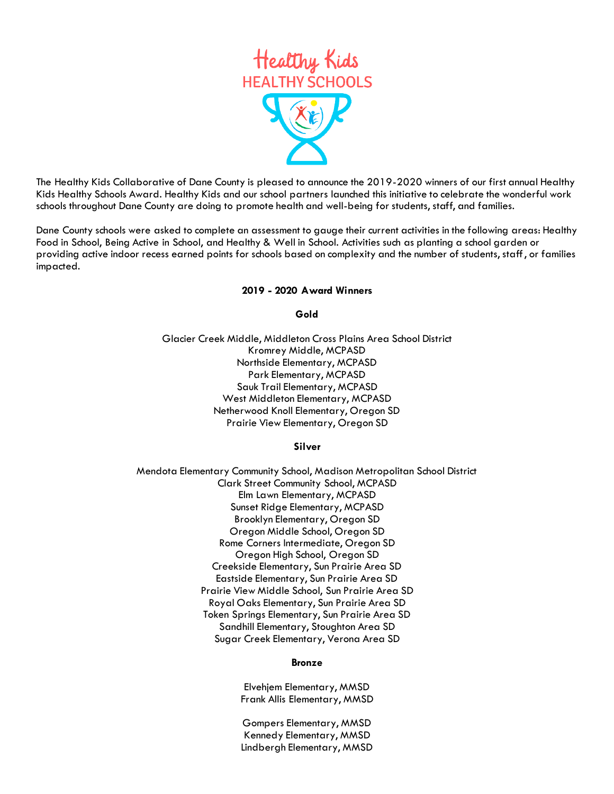

The Healthy Kids Collaborative of Dane County is pleased to announce the 2019-2020 winners of our first annual Healthy Kids Healthy Schools Award. Healthy Kids and our school partners launched this initiative to celebrate the wonderful work schools throughout Dane County are doing to promote health and well-being for students, staff, and families.

Dane County schools were asked to complete an assessment to gauge their current activities in the following areas: Healthy Food in School, Being Active in School, and Healthy & Well in School. Activities such as planting a school garden or providing active indoor recess earned points for schools based on complexity and the number of students, staff, or families impacted.

## **2019 - 2020 Award Winners**

**Gold**

Glacier Creek Middle, Middleton Cross Plains Area School District Kromrey Middle, MCPASD Northside Elementary, MCPASD Park Elementary, MCPASD Sauk Trail Elementary, MCPASD West Middleton Elementary, MCPASD Netherwood Knoll Elementary, Oregon SD Prairie View Elementary, Oregon SD

## **Silver**

Mendota Elementary Community School, Madison Metropolitan School District Clark Street Community School, MCPASD Elm Lawn Elementary, MCPASD Sunset Ridge Elementary, MCPASD Brooklyn Elementary, Oregon SD Oregon Middle School, Oregon SD Rome Corners Intermediate, Oregon SD Oregon High School, Oregon SD Creekside Elementary, Sun Prairie Area SD Eastside Elementary, Sun Prairie Area SD Prairie View Middle School, Sun Prairie Area SD Royal Oaks Elementary, Sun Prairie Area SD Token Springs Elementary, Sun Prairie Area SD Sandhill Elementary, Stoughton Area SD Sugar Creek Elementary, Verona Area SD

## **Bronze**

Elvehjem Elementary, MMSD Frank Allis Elementary, MMSD

Gompers Elementary, MMSD Kennedy Elementary, MMSD Lindbergh Elementary, MMSD